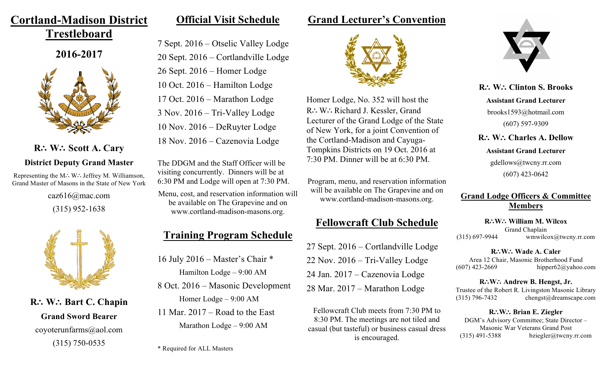# **Cortland-Madison District**

**Trestleboard**

**2016-2017**



## **R**∴ **W**∴ **Scott A. Cary District Deputy Grand Master**

Representing the M∴ W∴ Jeffrey M. Williamson, Grand Master of Masons in the State of New York

> caz616@mac.com (315) 952-1638



**R**∴ **W**∴ **Bart C. Chapin Grand Sword Bearer** coyoterunfarms@aol.com (315) 750-0535

### **Official Visit Schedule**

7 Sept. 2016 – Otselic Valley Lodge 20 Sept. 2016 – Cortlandville Lodge 26 Sept. 2016 – Homer Lodge 10 Oct. 2016 – Hamilton Lodge 17 Oct. 2016 – Marathon Lodge 3 Nov. 2016 – Tri-Valley Lodge 10 Nov. 2016 – DeRuyter Lodge 18 Nov. 2016 – Cazenovia Lodge

The DDGM and the Staff Officer will be visiting concurrently. Dinners will be at 6:30 PM and Lodge will open at 7:30 PM.

Menu, cost, and reservation information will be available on The Grapevine and on www.cortland-madison-masons.org.

# **Training Program Schedule**

16 July 2016 – Master's Chair \* Hamilton Lodge – 9:00 AM 8 Oct. 2016 – Masonic Development

Homer Lodge – 9:00 AM

11 Mar. 2017 – Road to the East Marathon Lodge – 9:00 AM

### **Grand Lecturer's Convention**



Homer Lodge, No. 352 will host the R∴ W∴ Richard J. Kessler, Grand Lecturer of the Grand Lodge of the State of New York, for a joint Convention of the Cortland-Madison and Cayuga-Tompkins Districts on 19 Oct. 2016 at 7:30 PM. Dinner will be at 6:30 PM.

Program, menu, and reservation information will be available on The Grapevine and on www.cortland-madison-masons.org.

### **Fellowcraft Club Schedule**

27 Sept. 2016 – Cortlandville Lodge 22 Nov. 2016 – Tri-Valley Lodge 24 Jan. 2017 – Cazenovia Lodge 28 Mar. 2017 – Marathon Lodge

Fellowcraft Club meets from 7:30 PM to 8:30 PM. The meetings are not tiled and casual (but tasteful) or business casual dress is encouraged.



**R**∴ **W**∴ **Clinton S. Brooks Assistant Grand Lecturer** brooks1593@hotmail.com (607) 597-9309

**R**∴ **W**∴ **Charles A. Dellow Assistant Grand Lecturer** gdellows@twcny.rr.com (607) 423-0642

#### **Grand Lodge Officers & Committee Members**

**R**∴**W**∴ **William M. Wilcox** Grand Chaplain  $(315)$  697-9944 wmwilcox $\omega$ twcny.rr.com

**R**∴**W**∴ **Wade A. Caler** Area 12 Chair, Masonic Brotherhood Fund  $(607)$  423-2669 hipper62@yahoo.com

**R**∴**W**∴ **Andrew B. Hengst, Jr.** Trustee of the Robert R. Livingston Masonic Library (315) 796-7432 chengst@dreamscape.com

**R**∴**W**∴ **Brian E. Ziegler** DGM's Advisory Committee; State Director – Masonic War Veterans Grand Post  $(315)$  491-5388 bziegler@twcny.rr.com

\* Required for ALL Masters